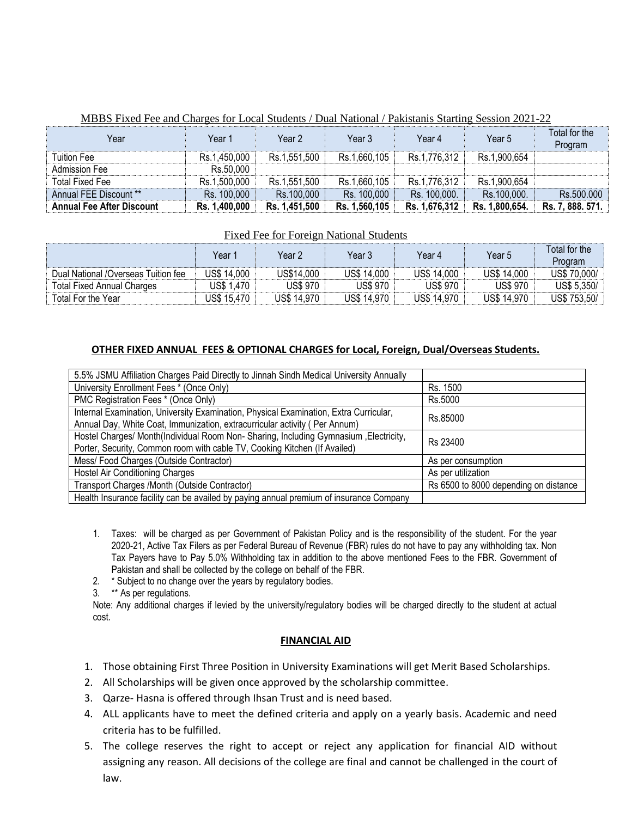| Year                             | Year 1        | Year 2        | Year 3        | Year 4        | Year 5         | Total for the<br>Program |
|----------------------------------|---------------|---------------|---------------|---------------|----------------|--------------------------|
| Tuition Fee                      | Rs.1,450,000  | Rs.1,551,500  | Rs.1,660,105  | Rs.1,776,312  | Rs.1,900,654   |                          |
| <b>Admission Fee</b>             | Rs.50,000     |               |               |               |                |                          |
| Total Fixed Fee                  | Rs.1,500,000  | Rs.1,551,500  | Rs.1,660,105  | Rs.1,776,312  | Rs.1,900,654   |                          |
| Annual FEE Discount **           | Rs. 100,000   | Rs.100,000    | Rs. 100,000   | Rs. 100,000.  | Rs.100,000.    | Rs.500.000               |
| <b>Annual Fee After Discount</b> | Rs. 1.400,000 | Rs. 1,451,500 | Rs. 1,560,105 | Rs. 1,676,312 | Rs. 1,800,654. | Rs. 7, 888. 571.         |

### MBBS Fixed Fee and Charges for Local Students / Dual National / Pakistanis Starting Session 2021-22

### Fixed Fee for Foreign National Students

|                                     | Year 1      | Year 2          | Year 3          | Year 4          | Year 5          | Total for the<br>Program |
|-------------------------------------|-------------|-----------------|-----------------|-----------------|-----------------|--------------------------|
| Dual National /Overseas Tuition fee | US\$ 14.000 | US\$14,000      | US\$ 14,000     | US\$ 14,000     | US\$ 14.000     | US\$ 70,000/             |
| <b>Total Fixed Annual Charges</b>   | US\$ 1,470  | <b>US\$ 970</b> | <b>US\$ 970</b> | <b>US\$ 970</b> | <b>US\$ 970</b> | US\$ 5,350/              |
| Total For the Year                  | US\$ 15.470 | US\$ 14.970     | US\$ 14,970     | US\$ 14,970     | US\$ 14,970     | US\$ 753,50/             |

### **OTHER FIXED ANNUAL FEES & OPTIONAL CHARGES for Local, Foreign, Dual/Overseas Students.**

| 5.5% JSMU Affiliation Charges Paid Directly to Jinnah Sindh Medical University Annually                                                                             |                                       |  |  |
|---------------------------------------------------------------------------------------------------------------------------------------------------------------------|---------------------------------------|--|--|
| University Enrollment Fees * (Once Only)                                                                                                                            | Rs. 1500                              |  |  |
| PMC Registration Fees * (Once Only)                                                                                                                                 | Rs.5000                               |  |  |
| Internal Examination, University Examination, Physical Examination, Extra Curricular,<br>Annual Day, White Coat, Immunization, extracurricular activity (Per Annum) | Rs.85000                              |  |  |
| Hostel Charges/ Month(Individual Room Non- Sharing, Including Gymnasium , Electricity,<br>Porter, Security, Common room with cable TV, Cooking Kitchen (If Availed) | Rs 23400                              |  |  |
| Mess/Food Charges (Outside Contractor)                                                                                                                              | As per consumption                    |  |  |
| <b>Hostel Air Conditioning Charges</b>                                                                                                                              | As per utilization                    |  |  |
| Transport Charges /Month (Outside Contractor)                                                                                                                       | Rs 6500 to 8000 depending on distance |  |  |
| Health Insurance facility can be availed by paying annual premium of insurance Company                                                                              |                                       |  |  |

- 1. Taxes: will be charged as per Government of Pakistan Policy and is the responsibility of the student. For the year 2020-21, Active Tax Filers as per Federal Bureau of Revenue (FBR) rules do not have to pay any withholding tax. Non Tax Payers have to Pay 5.0% Withholding tax in addition to the above mentioned Fees to the FBR. Government of Pakistan and shall be collected by the college on behalf of the FBR.
- 2. \* Subject to no change over the years by regulatory bodies.

3. \*\* As per regulations.

Note: Any additional charges if levied by the university/regulatory bodies will be charged directly to the student at actual cost.

### **FINANCIAL AID**

- 1. Those obtaining First Three Position in University Examinations will get Merit Based Scholarships.
- 2. All Scholarships will be given once approved by the scholarship committee.
- 3. Qarze- Hasna is offered through Ihsan Trust and is need based.
- 4. ALL applicants have to meet the defined criteria and apply on a yearly basis. Academic and need criteria has to be fulfilled.
- 5. The college reserves the right to accept or reject any application for financial AID without assigning any reason. All decisions of the college are final and cannot be challenged in the court of law.